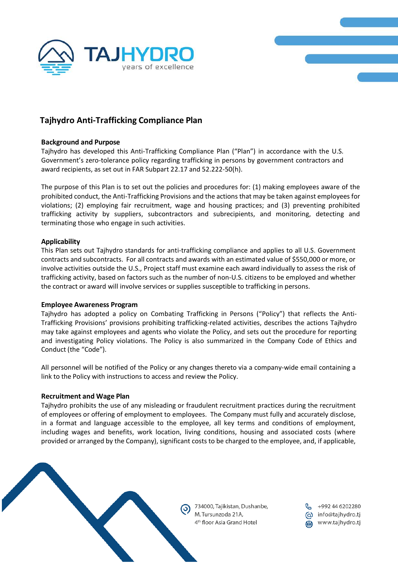



# **Tajhydro Anti-Trafficking Compliance Plan**

## **Background and Purpose**

Tajhydro has developed this Anti-Trafficking Compliance Plan ("Plan") in accordance with the U.S. Government's zero-tolerance policy regarding trafficking in persons by government contractors and award recipients, as set out in FAR Subpart 22.17 and 52.222-50(h).

The purpose of this Plan is to set out the policies and procedures for: (1) making employees aware of the prohibited conduct, the Anti-Trafficking Provisions and the actions that may be taken against employees for violations; (2) employing fair recruitment, wage and housing practices; and (3) preventing prohibited trafficking activity by suppliers, subcontractors and subrecipients, and monitoring, detecting and terminating those who engage in such activities.

# **Applicability**

This Plan sets out Tajhydro standards for anti-trafficking compliance and applies to all U.S. Government contracts and subcontracts. For all contracts and awards with an estimated value of \$550,000 or more, or involve activities outside the U.S., Project staff must examine each award individually to assess the risk of trafficking activity, based on factors such as the number of non-U.S. citizens to be employed and whether the contract or award will involve services or supplies susceptible to trafficking in persons.

## **Employee Awareness Program**

Tajhydro has adopted a policy on Combating Trafficking in Persons ("Policy") that reflects the Anti-Trafficking Provisions' provisions prohibiting trafficking-related activities, describes the actions Tajhydro may take against employees and agents who violate the Policy, and sets out the procedure for reporting and investigating Policy violations. The Policy is also summarized in the Company Code of Ethics and Conduct (the "Code").

All personnel will be notified of the Policy or any changes thereto via a company-wide email containing a link to the Policy with instructions to access and review the Policy.

## **Recruitment and Wage Plan**

Tajhydro prohibits the use of any misleading or fraudulent recruitment practices during the recruitment of employees or offering of employment to employees. The Company must fully and accurately disclose, in a format and language accessible to the employee, all key terms and conditions of employment, including wages and benefits, work location, living conditions, housing and associated costs (where provided or arranged by the Company), significant costs to be charged to the employee, and, if applicable,

> 734000, Tajikistan, Dushanbe, M. Tursunzoda 21A, 4<sup>th</sup> floor Asia Grand Hotel

+992 44 6202280 (a) info@tajhydro.tj www.tajhydro.tj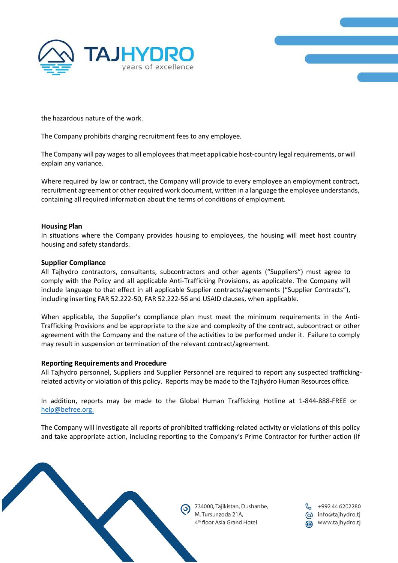



the hazardous nature of the work.

The Company prohibits charging recruitment fees to any employee.

The Company will pay wages to all employees that meet applicable host-country legalrequirements, or will explain any variance.

Where required by law or contract, the Company will provide to every employee an employment contract, recruitment agreement or other required work document, written in a language the employee understands, containing all required information about the terms of conditions of employment.

## **Housing Plan**

In situations where the Company provides housing to employees, the housing will meet host country housing and safety standards.

#### **Supplier Compliance**

All Tajhydro contractors, consultants, subcontractors and other agents ("Suppliers") must agree to comply with the Policy and all applicable Anti-Trafficking Provisions, as applicable. The Company will include language to that effect in all applicable Supplier contracts/agreements ("Supplier Contracts"), including inserting FAR 52.222-50, FAR 52.222-56 and USAID clauses, when applicable.

When applicable, the Supplier's compliance plan must meet the minimum requirements in the Anti-Trafficking Provisions and be appropriate to the size and complexity of the contract, subcontract or other agreement with the Company and the nature of the activities to be performed under it. Failure to comply may result in suspension or termination of the relevant contract/agreement.

## **Reporting Requirements and Procedure**

All Tajhydro personnel, Suppliers and Supplier Personnel are required to report any suspected traffickingrelated activity or violation of this policy. Reports may be made to the Tajhydro Human Resources office.

In addition, reports may be made to the Global Human Trafficking Hotline at 1-844-888-FREE or [help@befree.org.](mailto:help@befree.org)

The Company will investigate all reports of prohibited trafficking-related activity or violations of this policy and take appropriate action, including reporting to the Company's Prime Contractor for further action (if

734000, Tajikistan, Dushanbe, +992 44 6202280 M. Tursunzoda 21A, ώ info@tajhydro.tj 4<sup>th</sup> floor Asia Grand Hotel www.tajhydro.tj